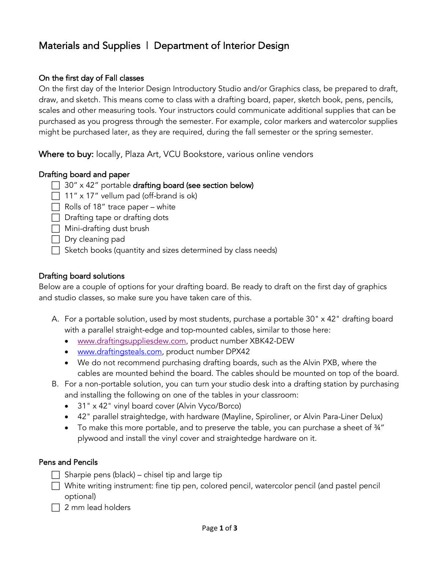# Materials and Supplies | Department of Interior Design

## On the first day of Fall classes

On the first day of the Interior Design Introductory Studio and/or Graphics class, be prepared to draft, draw, and sketch. This means come to class with a drafting board, paper, sketch book, pens, pencils, scales and other measuring tools. Your instructors could communicate additional supplies that can be purchased as you progress through the semester. For example, color markers and watercolor supplies might be purchased later, as they are required, during the fall semester or the spring semester.

Where to buy: locally, Plaza Art, VCU Bookstore, various online vendors

#### Drafting board and paper

#### $\Box$  30" x 42" portable drafting board (see section below)

- $\Box$  11" x 17" vellum pad (off-brand is ok)
- $\Box$  Rolls of 18" trace paper white
- $\Box$  Drafting tape or drafting dots
- $\Box$  Mini-drafting dust brush
- $\Box$  Dry cleaning pad
- $\Box$  Sketch books (quantity and sizes determined by class needs)

#### Drafting board solutions

Below are a couple of options for your drafting board. Be ready to draft on the first day of graphics and studio classes, so make sure you have taken care of this.

- A. For a portable solution, used by most students, purchase a portable 30" x 42" drafting board with a parallel straight-edge and top-mounted cables, similar to those here:
	- www.draftingsuppliesdew.com, product number XBK42-DEW
	- www.draftingsteals.com, product number DPX42
	- We do not recommend purchasing drafting boards, such as the Alvin PXB, where the cables are mounted behind the board. The cables should be mounted on top of the board.
- B. For a non-portable solution, you can turn your studio desk into a drafting station by purchasing and installing the following on one of the tables in your classroom:
	- 31" x 42" vinyl board cover (Alvin Vyco/Borco)
	- 42" parallel straightedge, with hardware (Mayline, Spiroliner, or Alvin Para-Liner Delux)
	- To make this more portable, and to preserve the table, you can purchase a sheet of 34" plywood and install the vinyl cover and straightedge hardware on it.

#### Pens and Pencils

- $\Box$  Sharpie pens (black) chisel tip and large tip
- $\Box$  White writing instrument: fine tip pen, colored pencil, watercolor pencil (and pastel pencil optional)
- $\Box$  2 mm lead holders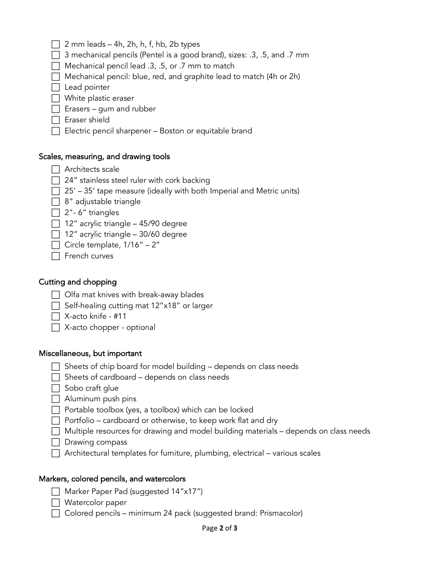|  | $\Box$ 2 mm leads – 4h, 2h, h, f, hb, 2b types |  |  |  |
|--|------------------------------------------------|--|--|--|
|  |                                                |  |  |  |

- $\Box$  3 mechanical pencils (Pentel is a good brand), sizes: .3, .5, and .7 mm
- $\Box$  Mechanical pencil lead .3, .5, or .7 mm to match
- $\Box$  Mechanical pencil: blue, red, and graphite lead to match (4h or 2h)
- $\Box$  Lead pointer
- $\Box$  White plastic eraser
- $\Box$  Erasers gum and rubber
- $\Box$  Eraser shield
- $\Box$  Electric pencil sharpener Boston or equitable brand

#### Scales, measuring, and drawing tools

- $\Box$  Architects scale
- $\Box$  24" stainless steel ruler with cork backing
- $\Box$  25' 35' tape measure (ideally with both Imperial and Metric units)
- $\Box$  8" adjustable triangle
- $\Box$  2"-6" triangles
- $\Box$  12" acrylic triangle 45/90 degree
- $\Box$  12" acrylic triangle 30/60 degree
- $\Box$  Circle template, 1/16" 2"
- $\Box$  French curves

## Cutting and chopping

- $\Box$  Olfa mat knives with break-away blades
- $\Box$  Self-healing cutting mat 12"x18" or larger
- $\Box$  X-acto knife #11
- $\Box$  X-acto chopper optional

#### Miscellaneous, but important

- $\Box$  Sheets of chip board for model building depends on class needs
- $\Box$  Sheets of cardboard depends on class needs
- $\Box$  Sobo craft glue
- $\Box$  Aluminum push pins
- $\Box$  Portable toolbox (yes, a toolbox) which can be locked
- $\Box$  Portfolio cardboard or otherwise, to keep work flat and dry
- $\Box$  Multiple resources for drawing and model building materials depends on class needs
- $\Box$  Drawing compass
- $\Box$  Architectural templates for furniture, plumbing, electrical various scales

#### Markers, colored pencils, and watercolors

- $\Box$  Marker Paper Pad (suggested 14"x17")
- $\Box$  Watercolor paper
- $\Box$  Colored pencils minimum 24 pack (suggested brand: Prismacolor)